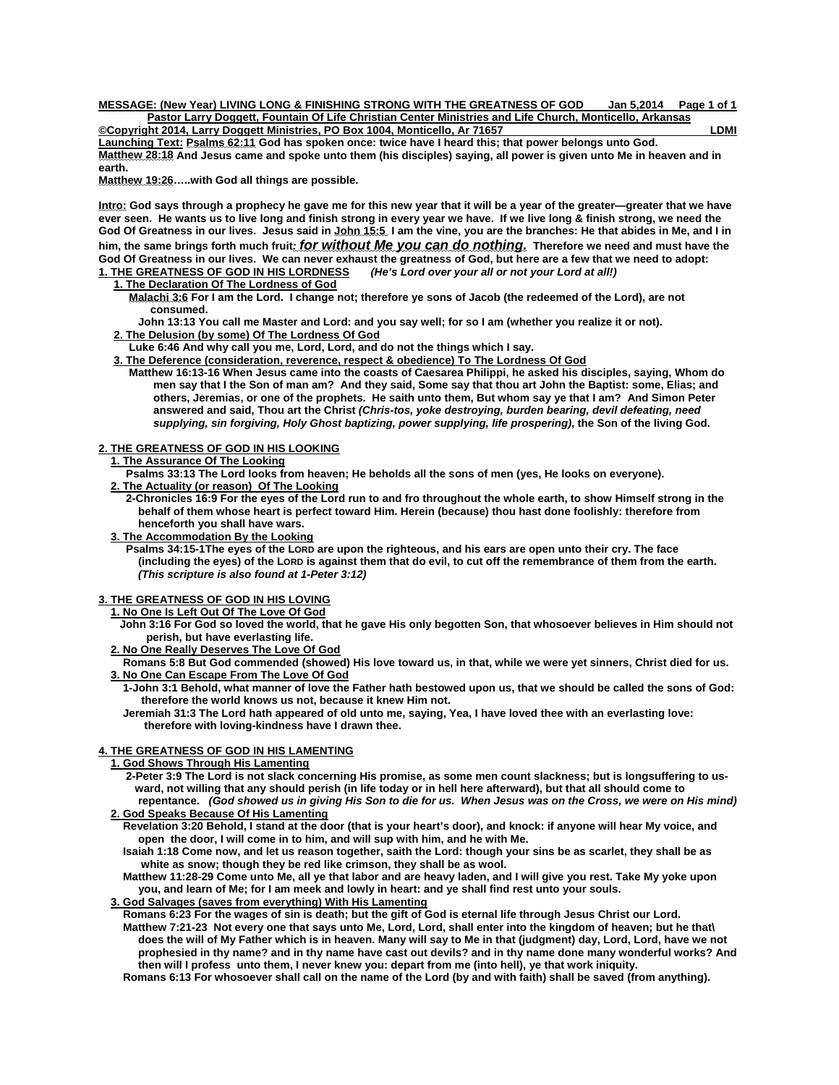**MESSAGE: (New Year) LIVING LONG & FINISHING STRONG WITH THE GREATNESS OF GOD Jan 5,2014 Page 1 of 1 Pastor Larry Doggett, Fountain Of Life Christian Center Ministries and Life Church, Monticello, Arkansas Copyright 2014, Larry Doggett Ministries, PO Box 1004, Monticello, Ar 71657** LOMI

**Launching Text: Psalms 62:11 God has spoken once: twice have I heard this; that power belongs unto God. Matthew 28:18 And Jesus came and spoke unto them (his disciples) saying, all power is given unto Me in heaven and in earth.** 

**Matthew 19:26…..with God all things are possible.** 

**Intro: God says through a prophecy he gave me for this new year that it will be a year of the greater—greater that we have ever seen. He wants us to live long and finish strong in every year we have. If we live long & finish strong, we need the God Of Greatness in our lives. Jesus said in John 15:5 I am the vine, you are the branches: He that abides in Me, and I in him, the same brings forth much fruit***: for without Me you can do nothing.* **Therefore we need and must have the**  God Of Greatness in our lives. We can never exhaust the greatness of God, but here are a few that we need to adopt:<br>1. THE GREATNESS OF GOD IN HIS LORDNESS (He's Lord over your all or not your Lord at all!) **1. THE GREATNESS OF GOD IN HIS LORDNESS** *(He's Lord over your all or not your Lord at all!)* 

## **1. The Declaration Of The Lordness of God**

 **Malachi 3:6 For I am the Lord. I change not; therefore ye sons of Jacob (the redeemed of the Lord), are not consumed.** 

 **John 13:13 You call me Master and Lord: and you say well; for so I am (whether you realize it or not). 2. The Delusion (by some) Of The Lordness Of God**

 **Luke 6:46 And why call you me, Lord, Lord, and do not the things which I say.** 

 **3. The Deference (consideration, reverence, respect & obedience) To The Lordness Of God** 

 **Matthew 16:13-16 When Jesus came into the coasts of Caesarea Philippi, he asked his disciples, saying, Whom do men say that I the Son of man am? And they said, Some say that thou art John the Baptist: some, Elias; and others, Jeremias, or one of the prophets. He saith unto them, But whom say ye that I am? And Simon Peter answered and said, Thou art the Christ** *(Chris-tos, yoke destroying, burden bearing, devil defeating, need supplying, sin forgiving, Holy Ghost baptizing, power supplying, life prospering)***, the Son of the living God.** 

#### **2. THE GREATNESS OF GOD IN HIS LOOKING**

## **1. The Assurance Of The Looking**

 **Psalms 33:13 The Lord looks from heaven; He beholds all the sons of men (yes, He looks on everyone). 2. The Actuality (or reason) Of The Looking**

 **2-Chronicles 16:9 For the eyes of the Lord run to and fro throughout the whole earth, to show Himself strong in the behalf of them whose heart is perfect toward Him. Herein (because) thou hast done foolishly: therefore from henceforth you shall have wars.** 

## **3. The Accommodation By the Looking**

 **Psalms 34:15-1The eyes of the LORD are upon the righteous, and his ears are open unto their cry. The face (including the eyes) of the LORD is against them that do evil, to cut off the remembrance of them from the earth.** *(This scripture is also found at 1-Peter 3:12)* 

#### **3. THE GREATNESS OF GOD IN HIS LOVING**

 **1. No One Is Left Out Of The Love Of God**

- **John 3:16 For God so loved the world, that he gave His only begotten Son, that whosoever believes in Him should not perish, but have everlasting life.**
- **One Really Deserves The Love Of God**

 **Romans 5:8 But God commended (showed) His love toward us, in that, while we were yet sinners, Christ died for us. 3. No One Can Escape From The Love Of God**

 **1-John 3:1 Behold, what manner of love the Father hath bestowed upon us, that we should be called the sons of God: therefore the world knows us not, because it knew Him not.** 

 **Jeremiah 31:3 The Lord hath appeared of old unto me, saying, Yea, I have loved thee with an everlasting love: therefore with loving-kindness have I drawn thee.** 

### **4. THE GREATNESS OF GOD IN HIS LAMENTING**

## **1. God Shows Through His Lamenting**

 **2-Peter 3:9 The Lord is not slack concerning His promise, as some men count slackness; but is longsuffering to us ward, not willing that any should perish (in life today or in hell here afterward), but that all should come to** 

 **repentance.** *(God showed us in giving His Son to die for us. When Jesus was on the Cross, we were on His mind)*   **2. God Speaks Because Of His Lamenting**

 **Revelation 3:20 Behold, I stand at the door (that is your heart's door), and knock: if anyone will hear My voice, and open the door, I will come in to him, and will sup with him, and he with Me.** 

 **Isaiah 1:18 Come now, and let us reason together, saith the Lord: though your sins be as scarlet, they shall be as white as snow; though they be red like crimson, they shall be as wool.** 

 **Matthew 11:28-29 Come unto Me, all ye that labor and are heavy laden, and I will give you rest. Take My yoke upon you, and learn of Me; for I am meek and lowly in heart: and ye shall find rest unto your souls.** 

# **3. God Salvages (saves from everything) With His Lamenting**

 **Romans 6:23 For the wages of sin is death; but the gift of God is eternal life through Jesus Christ our Lord. Matthew 7:21-23 Not every one that says unto Me, Lord, Lord, shall enter into the kingdom of heaven; but he that\ does the will of My Father which is in heaven. Many will say to Me in that (judgment) day, Lord, Lord, have we not prophesied in thy name? and in thy name have cast out devils? and in thy name done many wonderful works? And then will I profess unto them, I never knew you: depart from me (into hell), ye that work iniquity.** 

 **Romans 6:13 For whosoever shall call on the name of the Lord (by and with faith) shall be saved (from anything).**